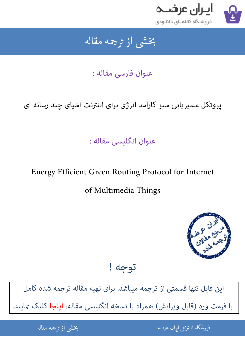

## بخشى از ترجمه مقاله شی از تر بخشی از :

عنوان فارسی مقاله :

پروتکل مسیریابی سبز کارآمد انرژی برای اینترنت اشیای چند رسانه ای

عنوان انگلیسی مقاله :

Energy Efficient Green Routing Protocol for Internet

of Multimedia Things



توجه !

[این فایل تنها قسمتی از ترجمه میباشد. برای تهیه مقاله ترجمه شده کامل](http://iranarze.ir/energy+green+routing+protocol+internet+multimedia)  با فرمت ورد (قابل ویرایش) همراه با نسخه انگلیسی مقاله، اینجا کلیک غایید.

> .<br>ه المواقع المواقع المواقع المواقع المواقع المواقع المواقع المواقع المواقع المواقع المواقع المواقع المواقع المو ֦֧֧֚֚֚֚֚֚֚֚֚֚֚֚֚֚֚֚֚֚֚֚֚֬֡֡֡֡֡֡֡֡֡֡֬֓֡֬֝֝֓֡ فروشگاه اینترنتی ایر

ان عرضه مقاله از ترجمه مقاله استخدام استخدام العامل العامل العامل العامل العامل العامل العامل العامل العامل ال